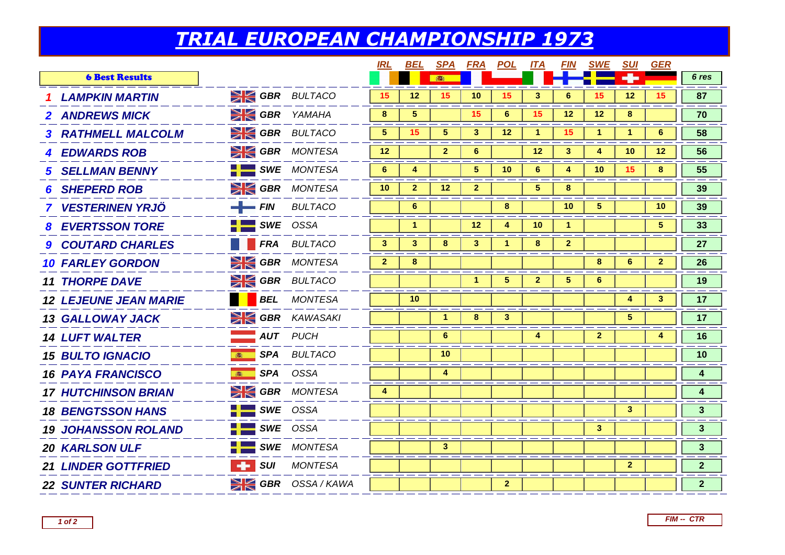## *TRIAL EUROPEAN CHAMPIONSHIP 1973*

|                              |                                       |                           | <b>IRL</b>      | <b>BEL</b>           |                      |                | SPA FRA POL ITA |                   |                      | <u>FIN SWE</u>  | <u>SUI</u>   | GER            |                         |
|------------------------------|---------------------------------------|---------------------------|-----------------|----------------------|----------------------|----------------|-----------------|-------------------|----------------------|-----------------|--------------|----------------|-------------------------|
| <b>6 Best Results</b>        |                                       |                           |                 |                      | 春                    |                |                 |                   |                      |                 |              |                | 6 res                   |
| <b>1 LAMPKIN MARTIN</b>      |                                       | <b>SIGBR</b> BULTACO      | 15              | $12 \overline{ }$    | 15                   | 10             | 15              | 3                 | 6                    | 15              | 12           | 15             | 87                      |
| <b>2 ANDREWS MICK</b>        |                                       | <b>SIGBR</b> YAMAHA       | 8               | 5                    |                      | 15             | 6               | 15                | 12                   | 12 <sup>2</sup> | 8            |                | 70                      |
| <b>3 RATHMELL MALCOLM</b>    |                                       | <b>SE GBR</b> BULTACO     | 5               | 15 <sub>1</sub>      | $5\phantom{.0}$      | $\mathbf{3}$   | 12 <sup>2</sup> | $\mathbf{1}$      | 15                   | 1               | 1            | 6              | 58                      |
| <b>4 EDWARDS ROB</b>         |                                       | SK GBR MONTESA            | 12              |                      | $\mathbf{2}$         | 6              |                 | $12 \overline{ }$ | 3                    | 4               | 10           | $12 \,$        | 56                      |
| <b>5 SELLMAN BENNY</b>       |                                       | <b>SWE</b> MONTESA        | $6^{\circ}$     | 4                    |                      | 5 <sup>5</sup> | 10 <sup>°</sup> | 6                 | 4                    | 10              | 15           | 8              | 55                      |
| <b>6 SHEPERD ROB</b>         |                                       | <b>SK GBR</b> MONTESA     | 10 <sup>°</sup> | $\overline{2}$       | 12 <sup>2</sup>      | $\overline{2}$ |                 | 5 <sup>5</sup>    | 8                    |                 |              |                | 39                      |
| <b>7 VESTERINEN YRJÖ</b>     | $-$ FIN                               | <b>BULTACO</b>            |                 | 6                    |                      |                | 8               |                   | 10                   | 5.              |              | 10             | 39                      |
| <b>8 EVERTSSON TORE</b>      |                                       | $\blacksquare$ SWE OSSA   |                 | $\blacktriangleleft$ |                      | 12             | 4               | 10                | $\blacktriangleleft$ |                 |              | 5 <sup>5</sup> | 33                      |
| <b>9 COUTARD CHARLES</b>     |                                       | <b>FRA BULTACO</b>        | 3               | $\mathbf{3}$         | 8                    | $\mathbf{3}$   | 1.              | 8                 | $\overline{2}$       |                 |              |                | 27                      |
| <b>10 FARLEY GORDON</b>      |                                       | <b>SIGBR</b> MONTESA      | $\overline{2}$  | 8                    |                      |                |                 |                   |                      | 8               | 6            | $\mathbf{2}$   | 26                      |
| <b>11 THORPE DAVE</b>        |                                       | <b>SIGBR</b> BULTACO      |                 |                      |                      | 1              | 5.              | $\mathbf{2}$      | 5.                   | 6               |              |                | 19                      |
| <b>12 LEJEUNE JEAN MARIE</b> |                                       | <b>BEL</b> MONTESA        |                 | 10                   |                      |                |                 |                   |                      |                 | 4            | 3              | 17                      |
| <b>13 GALLOWAY JACK</b>      |                                       | $\geq$ GBR KAWASAKI       |                 |                      | $\blacktriangleleft$ | 8              | 3 <sup>1</sup>  |                   |                      |                 | 5            |                | 17                      |
| <b>14 LUFT WALTER</b>        |                                       | <b>AUT</b> PUCH           |                 |                      | $6\phantom{1}$       |                |                 | 4                 |                      | $\mathbf{2}$    |              | 4              | 16                      |
| <b>15 BULTO IGNACIO</b>      |                                       | <b>SPA BULTACO</b>        |                 |                      | 10 <sup>°</sup>      |                |                 |                   |                      |                 |              |                | 10                      |
| <b>16 PAYA FRANCISCO</b>     |                                       | SPA OSSA                  |                 |                      | 4                    |                |                 |                   |                      |                 |              |                | $\overline{\mathbf{4}}$ |
| <b>17 HUTCHINSON BRIAN</b>   |                                       | <b>SIGBR</b> MONTESA      | 4               |                      |                      |                |                 |                   |                      |                 |              |                | 4                       |
| <b>18 BENGTSSON HANS</b>     |                                       | $SWE$ OSSA                |                 |                      |                      |                |                 |                   |                      |                 | 3            |                | $\mathbf{3}$            |
| <b>19 JOHANSSON ROLAND</b>   |                                       | $\frac{1}{2}$ SWE OSSA    |                 |                      |                      |                |                 |                   |                      | $\mathbf{3}$    |              |                | $\mathbf{3}$            |
| <b>20 KARLSON ULF</b>        |                                       | $\frac{1}{2}$ SWE MONTESA |                 |                      | 3                    |                |                 |                   |                      |                 |              |                | $\mathbf{3}$            |
| <b>21 LINDER GOTTFRIED</b>   | $\blacksquare$ surface $\blacksquare$ | <b>MONTESA</b>            |                 |                      |                      |                |                 |                   |                      |                 | $\mathbf{2}$ |                | $\mathbf{2}$            |
| <b>22 SUNTER RICHARD</b>     |                                       | <b>SK GBR</b> OSSA/KAWA   |                 |                      |                      |                | 2 <sup>1</sup>  |                   |                      |                 |              |                | 2 <sup>1</sup>          |
|                              |                                       |                           |                 |                      |                      |                |                 |                   |                      |                 |              |                |                         |